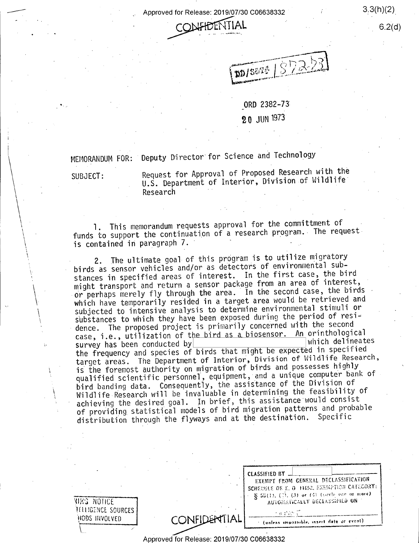Approved for Release: 2019/07/30 C06638332



 $\sqrt{555}$  $\vee$  in it is in the interval with  $\sim$ pp/S&T!  $\,$ '§

 $3.3(h)(2)$ 

 $6.2(d)$ 

ORD 2382-73

20 JUN <sup>1973</sup>

MEMORANDUM FOR: 'Deputy Director for Science and Technology

SUBJECT:

 $\bar{I}$ 

l

, <sup>e</sup>

I

Request for Approval of Proposed Research with the  $_{\rm U.S.}$  Department of Interior, Division of Wildlife  $_{\rm U.S.}$ Research ' " is in the Research

1. This memorandum requests approval for the committment of funds to support the continuation of a research program. The request is contained in paragraph 7. .  $\cdot$ 

2. The ultimate goal of this program is to utilize migratory birds as sensor vehicles and/or as detectors of environmental substances in specified areas of interest. In the first case, the bird might transport and return a sensor package from an area of interest, or perhaps merely fly through the area. In the second case, the birds which have temporarily resided in a target area would be retrieved and subjected to intensive analysis to determine environmental stimuli or substances to which they have been exposed during the period of residence. The proposed project is primarily concerned with the second case, i.e., utilization of the bird as a biosensor. An orinthological<br>survey has been conducted by survey has been conducted by  $\frac{|$  which delineates the frequency and species of birds that might be expected in specified target areas. The Department of Interior, Division of Wildlife Research, is the foremost authority on migration of birds and possesses highly qualified scientific personnel, equipment, and a unique computer bank of bird banding data. Consequently, the assistance of the Division of Wildlife Research will be invaluable in determining the feasibility of achieving the desired goal. In brief, this assistance would consist of providing statistical models of bird migration patterns and probable distribution through the flyways and at the destination. Specific

|                                                   |              | <b>CLASSIFIED BY</b><br>EXEMPT FROM GENERAL DECLASSIFICATION<br>SCHEDULE OF E. O. 11652, EXEMPTION CATEGORY:<br>$\sim$ § 55(1), (7), (3) or (3) (turch one or more). |
|---------------------------------------------------|--------------|----------------------------------------------------------------------------------------------------------------------------------------------------------------------|
| VES NOTICE<br>TELLIGENCE SOURCES<br>HODS INVOLVED | CONFIDENTIAL | AUTOMATICALLY DECLASSIFIED ON<br>of an alleged<br>(unless impossible, insert date or event).                                                                         |

Approved for Release: 2019/07/30 C06038332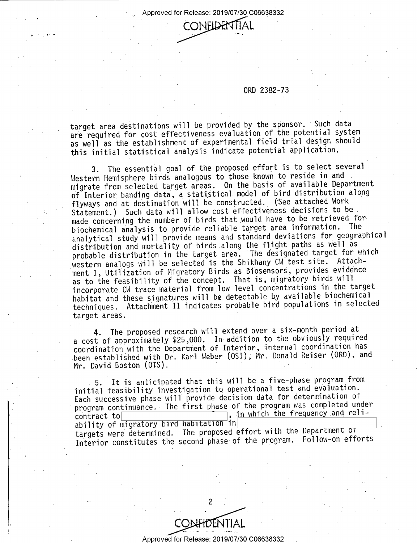\_. >Appr0ved for Release: 2019/07/30 C06638332



ORD 2382-73

target area destinations will be provided by the sponsor. 'Such data are required for cost effectiveness evaluation of the potential system as well as the establishment of experimental field trial design should this initial statistical analysis indicate potential application.

3. The essential goal of the proposed effort is to select several Western Hemisphere birds analogous to those known to reside in and migrate from selected target areas. 0n the basis of available Department of Interior banding data, a statistical model of bird distribution along flyways and at destination will be constructed. (See attached Work Statement.) Such data will allow cost effectiveness decisions to be made concerning the number of birds that would have to be retrieved for biochemical analysis to provide reliable target area information. The analytical study will provide means and standard deviations for geographical distribution and mortality of birds along the flight paths as well as probable distribution in the target area. The designated target for which western analogs will be selected is the Shikhany CW test site. Attachment I, Utilization of Migratory Birds as Biosensors, provides evidence as to the feasibility of the concept. That is, migratory birds will incorporate CW trace material from low level concentrations in the target. habitat and these signatures will be detectable by available biochemical techniques. Attachment II indicates probable bird populations in selected target areas.

4. The proposed research will extend over a six-month period at a cost of approximately \$25,000. In addition to the obviously required coordination with the Department of Interior, internal coordination has been established with Dr. Karl Weber (051); Mr. Donald Reiser (ORD), and Mr. David Boston (OTS).

5. It is anticipated that this will be a five-phase program from initial feasibility investigation to operational test and evaluation. Each successive phase will provide decision data for determination of program continuance. The first phase of the program was completed under<br>requirement and relicontract-tol , in which the frequency and reliability of migratory bird habitation in targets were determined. The proposed effort with the Department of ' Interior constitutes the second phase of the program. Follow-on efforts

' ' 2 -.

Approved for Release: 2019/07/30 C06638332